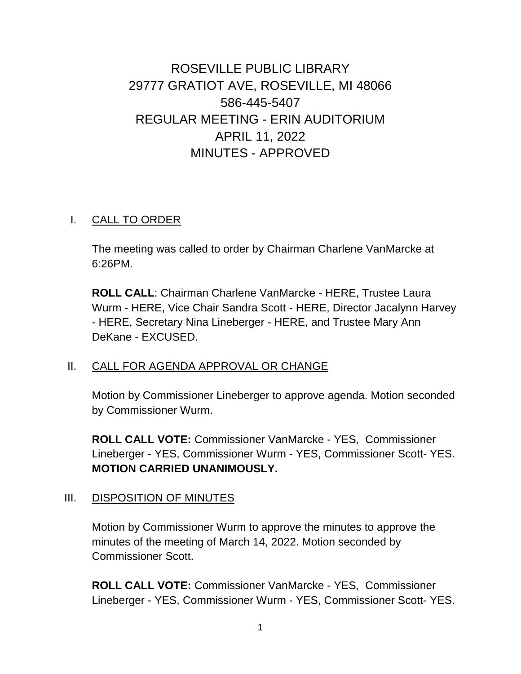# ROSEVILLE PUBLIC LIBRARY 29777 GRATIOT AVE, ROSEVILLE, MI 48066 586-445-5407 REGULAR MEETING - ERIN AUDITORIUM APRIL 11, 2022 MINUTES - APPROVED

#### I. CALL TO ORDER

The meeting was called to order by Chairman Charlene VanMarcke at 6:26PM.

**ROLL CALL**: Chairman Charlene VanMarcke - HERE, Trustee Laura Wurm - HERE, Vice Chair Sandra Scott - HERE, Director Jacalynn Harvey - HERE, Secretary Nina Lineberger - HERE, and Trustee Mary Ann DeKane - EXCUSED.

#### II. CALL FOR AGENDA APPROVAL OR CHANGE

Motion by Commissioner Lineberger to approve agenda. Motion seconded by Commissioner Wurm.

**ROLL CALL VOTE:** Commissioner VanMarcke - YES, Commissioner Lineberger - YES, Commissioner Wurm - YES, Commissioner Scott- YES. **MOTION CARRIED UNANIMOUSLY.**

### III. DISPOSITION OF MINUTES

Motion by Commissioner Wurm to approve the minutes to approve the minutes of the meeting of March 14, 2022. Motion seconded by Commissioner Scott.

**ROLL CALL VOTE:** Commissioner VanMarcke - YES, Commissioner Lineberger - YES, Commissioner Wurm - YES, Commissioner Scott- YES.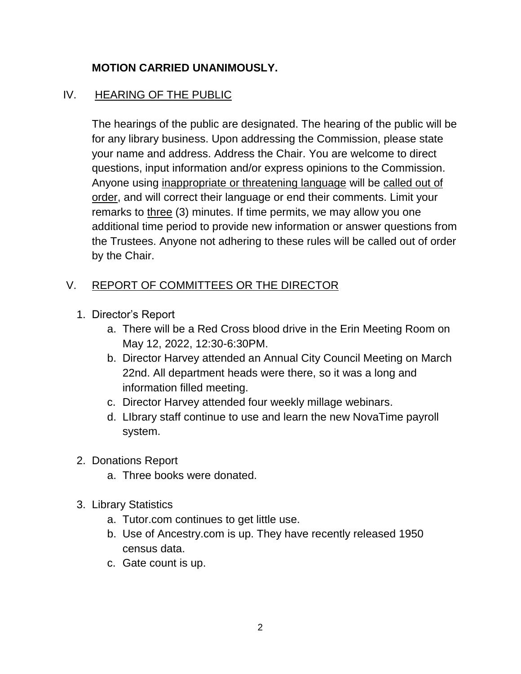### **MOTION CARRIED UNANIMOUSLY.**

#### IV. HEARING OF THE PUBLIC

The hearings of the public are designated. The hearing of the public will be for any library business. Upon addressing the Commission, please state your name and address. Address the Chair. You are welcome to direct questions, input information and/or express opinions to the Commission. Anyone using inappropriate or threatening language will be called out of order, and will correct their language or end their comments. Limit your remarks to three (3) minutes. If time permits, we may allow you one additional time period to provide new information or answer questions from the Trustees. Anyone not adhering to these rules will be called out of order by the Chair.

#### V. REPORT OF COMMITTEES OR THE DIRECTOR

- 1. Director's Report
	- a. There will be a Red Cross blood drive in the Erin Meeting Room on May 12, 2022, 12:30-6:30PM.
	- b. Director Harvey attended an Annual City Council Meeting on March 22nd. All department heads were there, so it was a long and information filled meeting.
	- c. Director Harvey attended four weekly millage webinars.
	- d. LIbrary staff continue to use and learn the new NovaTime payroll system.
- 2. Donations Report
	- a. Three books were donated.
- 3. Library Statistics
	- a. Tutor.com continues to get little use.
	- b. Use of Ancestry.com is up. They have recently released 1950 census data.
	- c. Gate count is up.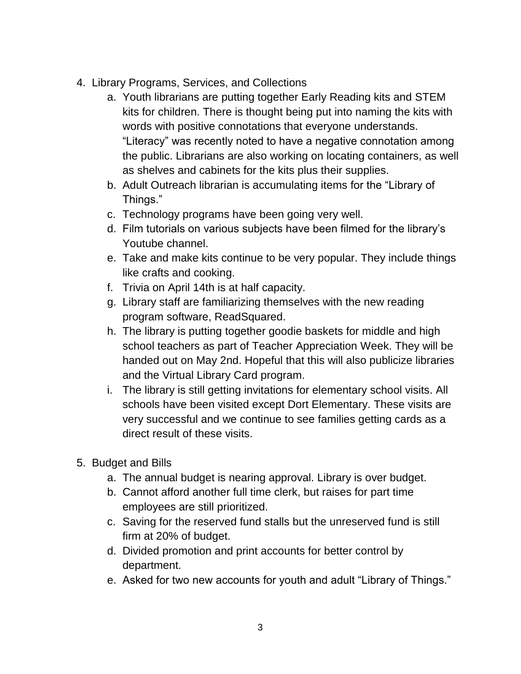- 4. Library Programs, Services, and Collections
	- a. Youth librarians are putting together Early Reading kits and STEM kits for children. There is thought being put into naming the kits with words with positive connotations that everyone understands. "Literacy" was recently noted to have a negative connotation among the public. Librarians are also working on locating containers, as well as shelves and cabinets for the kits plus their supplies.
	- b. Adult Outreach librarian is accumulating items for the "Library of Things."
	- c. Technology programs have been going very well.
	- d. Film tutorials on various subjects have been filmed for the library's Youtube channel.
	- e. Take and make kits continue to be very popular. They include things like crafts and cooking.
	- f. Trivia on April 14th is at half capacity.
	- g. Library staff are familiarizing themselves with the new reading program software, ReadSquared.
	- h. The library is putting together goodie baskets for middle and high school teachers as part of Teacher Appreciation Week. They will be handed out on May 2nd. Hopeful that this will also publicize libraries and the Virtual Library Card program.
	- i. The library is still getting invitations for elementary school visits. All schools have been visited except Dort Elementary. These visits are very successful and we continue to see families getting cards as a direct result of these visits.
- 5. Budget and Bills
	- a. The annual budget is nearing approval. Library is over budget.
	- b. Cannot afford another full time clerk, but raises for part time employees are still prioritized.
	- c. Saving for the reserved fund stalls but the unreserved fund is still firm at 20% of budget.
	- d. Divided promotion and print accounts for better control by department.
	- e. Asked for two new accounts for youth and adult "Library of Things."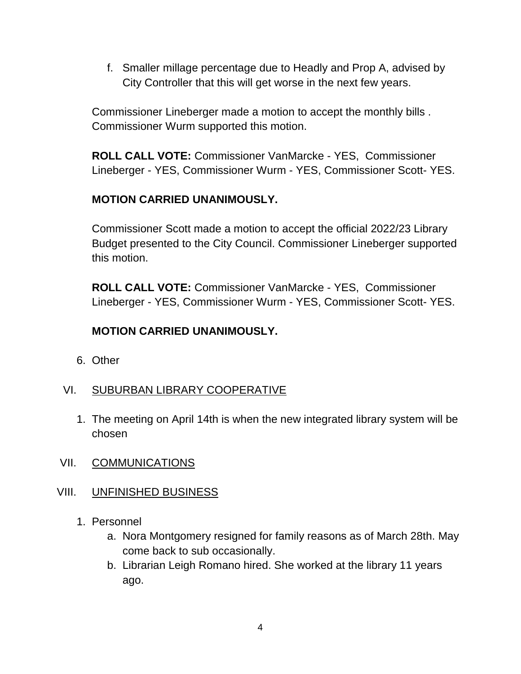f. Smaller millage percentage due to Headly and Prop A, advised by City Controller that this will get worse in the next few years.

Commissioner Lineberger made a motion to accept the monthly bills . Commissioner Wurm supported this motion.

**ROLL CALL VOTE:** Commissioner VanMarcke - YES, Commissioner Lineberger - YES, Commissioner Wurm - YES, Commissioner Scott- YES.

### **MOTION CARRIED UNANIMOUSLY.**

Commissioner Scott made a motion to accept the official 2022/23 Library Budget presented to the City Council. Commissioner Lineberger supported this motion.

**ROLL CALL VOTE:** Commissioner VanMarcke - YES, Commissioner Lineberger - YES, Commissioner Wurm - YES, Commissioner Scott- YES.

#### **MOTION CARRIED UNANIMOUSLY.**

6. Other

#### VI. SUBURBAN LIBRARY COOPERATIVE

- 1. The meeting on April 14th is when the new integrated library system will be chosen
- VII. COMMUNICATIONS

#### VIII. UNFINISHED BUSINESS

- 1. Personnel
	- a. Nora Montgomery resigned for family reasons as of March 28th. May come back to sub occasionally.
	- b. Librarian Leigh Romano hired. She worked at the library 11 years ago.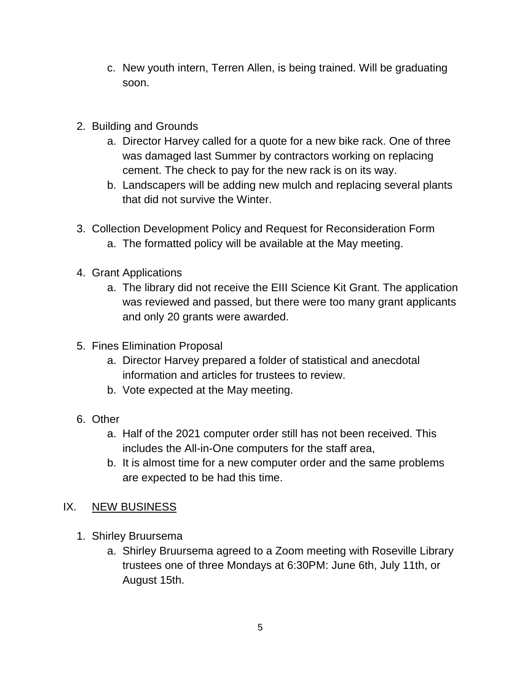- c. New youth intern, Terren Allen, is being trained. Will be graduating soon.
- 2. Building and Grounds
	- a. Director Harvey called for a quote for a new bike rack. One of three was damaged last Summer by contractors working on replacing cement. The check to pay for the new rack is on its way.
	- b. Landscapers will be adding new mulch and replacing several plants that did not survive the Winter.
- 3. Collection Development Policy and Request for Reconsideration Form
	- a. The formatted policy will be available at the May meeting.
- 4. Grant Applications
	- a. The library did not receive the EIII Science Kit Grant. The application was reviewed and passed, but there were too many grant applicants and only 20 grants were awarded.
- 5. Fines Elimination Proposal
	- a. Director Harvey prepared a folder of statistical and anecdotal information and articles for trustees to review.
	- b. Vote expected at the May meeting.
- 6. Other
	- a. Half of the 2021 computer order still has not been received. This includes the All-in-One computers for the staff area,
	- b. It is almost time for a new computer order and the same problems are expected to be had this time.

#### IX. NEW BUSINESS

- 1. Shirley Bruursema
	- a. Shirley Bruursema agreed to a Zoom meeting with Roseville Library trustees one of three Mondays at 6:30PM: June 6th, July 11th, or August 15th.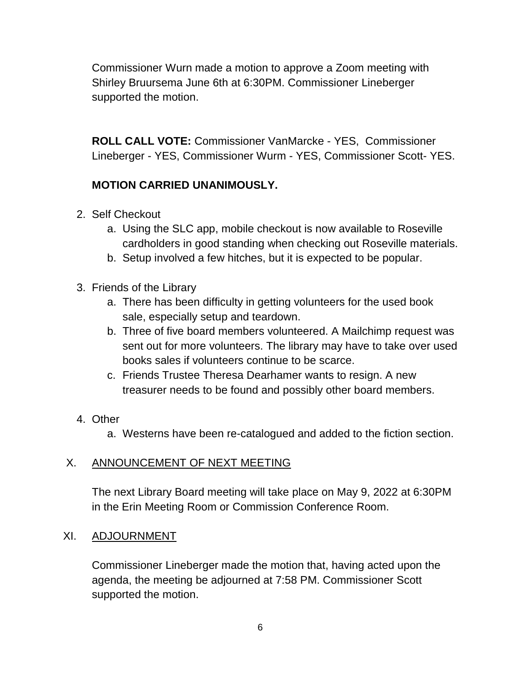Commissioner Wurn made a motion to approve a Zoom meeting with Shirley Bruursema June 6th at 6:30PM. Commissioner Lineberger supported the motion.

**ROLL CALL VOTE:** Commissioner VanMarcke - YES, Commissioner Lineberger - YES, Commissioner Wurm - YES, Commissioner Scott- YES.

## **MOTION CARRIED UNANIMOUSLY.**

- 2. Self Checkout
	- a. Using the SLC app, mobile checkout is now available to Roseville cardholders in good standing when checking out Roseville materials.
	- b. Setup involved a few hitches, but it is expected to be popular.
- 3. Friends of the Library
	- a. There has been difficulty in getting volunteers for the used book sale, especially setup and teardown.
	- b. Three of five board members volunteered. A Mailchimp request was sent out for more volunteers. The library may have to take over used books sales if volunteers continue to be scarce.
	- c. Friends Trustee Theresa Dearhamer wants to resign. A new treasurer needs to be found and possibly other board members.
- 4. Other
	- a. Westerns have been re-catalogued and added to the fiction section.

## X. ANNOUNCEMENT OF NEXT MEETING

The next Library Board meeting will take place on May 9, 2022 at 6:30PM in the Erin Meeting Room or Commission Conference Room.

### XI. ADJOURNMENT

Commissioner Lineberger made the motion that, having acted upon the agenda, the meeting be adjourned at 7:58 PM. Commissioner Scott supported the motion.